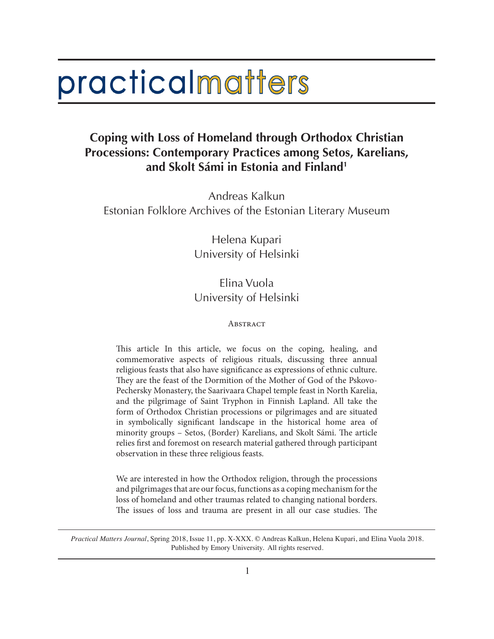# practicalmatters

# **Coping with Loss of Homeland through Orthodox Christian Processions: Contemporary Practices among Setos, Karelians, and Skolt Sámi in Estonia and Finland1**

Andreas Kalkun Estonian Folklore Archives of the Estonian Literary Museum

> Helena Kupari University of Helsinki

## Elina Vuola University of Helsinki

#### **ABSTRACT**

This article In this article, we focus on the coping, healing, and commemorative aspects of religious rituals, discussing three annual religious feasts that also have significance as expressions of ethnic culture. They are the feast of the Dormition of the Mother of God of the Pskovo-Pechersky Monastery, the Saarivaara Chapel temple feast in North Karelia, and the pilgrimage of Saint Tryphon in Finnish Lapland. All take the form of Orthodox Christian processions or pilgrimages and are situated in symbolically significant landscape in the historical home area of minority groups – Setos, (Border) Karelians, and Skolt Sámi. The article relies first and foremost on research material gathered through participant observation in these three religious feasts.

We are interested in how the Orthodox religion, through the processions and pilgrimages that are our focus, functions as a coping mechanism for the loss of homeland and other traumas related to changing national borders. The issues of loss and trauma are present in all our case studies. The

*Practical Matters Journal*, Spring 2018, Issue 11, pp. X-XXX. © Andreas Kalkun, Helena Kupari, and Elina Vuola 2018. Published by Emory University. All rights reserved.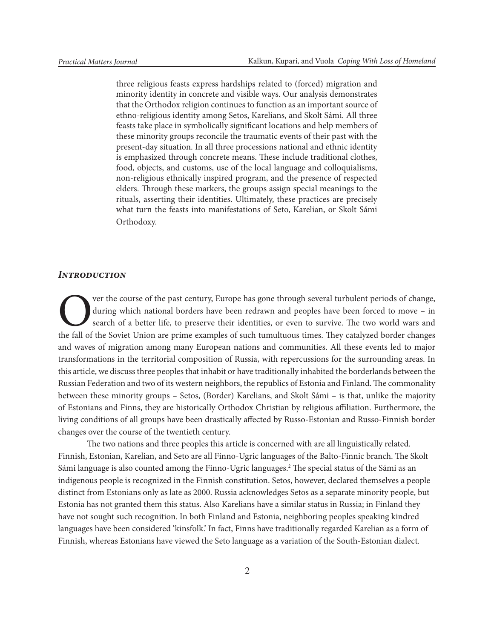three religious feasts express hardships related to (forced) migration and minority identity in concrete and visible ways. Our analysis demonstrates that the Orthodox religion continues to function as an important source of ethno-religious identity among Setos, Karelians, and Skolt Sámi. All three feasts take place in symbolically significant locations and help members of these minority groups reconcile the traumatic events of their past with the present-day situation. In all three processions national and ethnic identity is emphasized through concrete means. These include traditional clothes, food, objects, and customs, use of the local language and colloquialisms, non-religious ethnically inspired program, and the presence of respected elders. Through these markers, the groups assign special meanings to the rituals, asserting their identities. Ultimately, these practices are precisely what turn the feasts into manifestations of Seto, Karelian, or Skolt Sámi Orthodoxy.

#### *Introduction*

Over the course of the past century, Europe has gone through several turbulent periods of change, during which national borders have been redrawn and peoples have been forced to move – in search of a better life, to preser during which national borders have been redrawn and peoples have been forced to move – in search of a better life, to preserve their identities, or even to survive. The two world wars and the fall of the Soviet Union are prime examples of such tumultuous times. They catalyzed border changes and waves of migration among many European nations and communities. All these events led to major transformations in the territorial composition of Russia, with repercussions for the surrounding areas. In this article, we discuss three peoples that inhabit or have traditionally inhabited the borderlands between the Russian Federation and two of its western neighbors, the republics of Estonia and Finland. The commonality between these minority groups – Setos, (Border) Karelians, and Skolt Sámi – is that, unlike the majority of Estonians and Finns, they are historically Orthodox Christian by religious affiliation. Furthermore, the living conditions of all groups have been drastically affected by Russo-Estonian and Russo-Finnish border changes over the course of the twentieth century.

The two nations and three peoples this article is concerned with are all linguistically related. Finnish, Estonian, Karelian, and Seto are all Finno-Ugric languages of the Balto-Finnic branch. The Skolt Sámi language is also counted among the Finno-Ugric languages.<sup>2</sup> The special status of the Sámi as an indigenous people is recognized in the Finnish constitution. Setos, however, declared themselves a people distinct from Estonians only as late as 2000. Russia acknowledges Setos as a separate minority people, but Estonia has not granted them this status. Also Karelians have a similar status in Russia; in Finland they have not sought such recognition. In both Finland and Estonia, neighboring peoples speaking kindred languages have been considered 'kinsfolk.' In fact, Finns have traditionally regarded Karelian as a form of Finnish, whereas Estonians have viewed the Seto language as a variation of the South-Estonian dialect.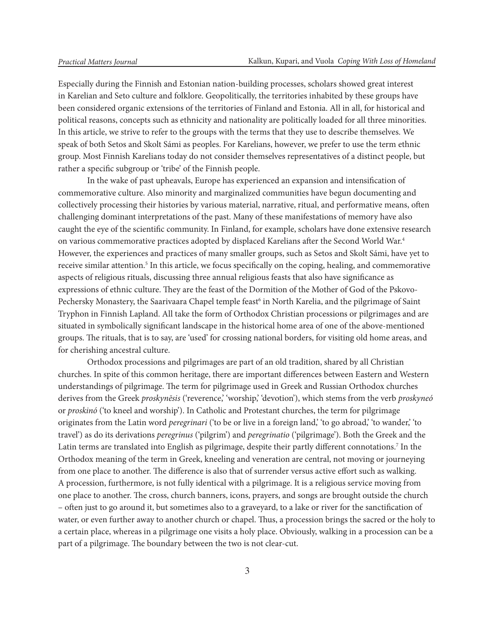Especially during the Finnish and Estonian nation-building processes, scholars showed great interest in Karelian and Seto culture and folklore. Geopolitically, the territories inhabited by these groups have been considered organic extensions of the territories of Finland and Estonia. All in all, for historical and political reasons, concepts such as ethnicity and nationality are politically loaded for all three minorities. In this article, we strive to refer to the groups with the terms that they use to describe themselves. We speak of both Setos and Skolt Sámi as peoples. For Karelians, however, we prefer to use the term ethnic group. Most Finnish Karelians today do not consider themselves representatives of a distinct people, but rather a specific subgroup or 'tribe' of the Finnish people.

In the wake of past upheavals, Europe has experienced an expansion and intensification of commemorative culture. Also minority and marginalized communities have begun documenting and collectively processing their histories by various material, narrative, ritual, and performative means, often challenging dominant interpretations of the past. Many of these manifestations of memory have also caught the eye of the scientific community. In Finland, for example, scholars have done extensive research on various commemorative practices adopted by displaced Karelians after the Second World War.4 However, the experiences and practices of many smaller groups, such as Setos and Skolt Sámi, have yet to receive similar attention.<sup>5</sup> In this article, we focus specifically on the coping, healing, and commemorative aspects of religious rituals, discussing three annual religious feasts that also have significance as expressions of ethnic culture. They are the feast of the Dormition of the Mother of God of the Pskovo-Pechersky Monastery, the Saarivaara Chapel temple feast<sup>6</sup> in North Karelia, and the pilgrimage of Saint Tryphon in Finnish Lapland. All take the form of Orthodox Christian processions or pilgrimages and are situated in symbolically significant landscape in the historical home area of one of the above-mentioned groups. The rituals, that is to say, are 'used' for crossing national borders, for visiting old home areas, and for cherishing ancestral culture.

Orthodox processions and pilgrimages are part of an old tradition, shared by all Christian churches. In spite of this common heritage, there are important differences between Eastern and Western understandings of pilgrimage. The term for pilgrimage used in Greek and Russian Orthodox churches derives from the Greek *proskynēsis* ('reverence,' 'worship,' 'devotion'), which stems from the verb *proskyneó*  or *proskinó* ('to kneel and worship'). In Catholic and Protestant churches, the term for pilgrimage originates from the Latin word *peregrinari* ('to be or live in a foreign land,' 'to go abroad,' 'to wander,' 'to travel') as do its derivations *peregrinus* ('pilgrim') and *peregrinatio* ('pilgrimage'). Both the Greek and the Latin terms are translated into English as pilgrimage, despite their partly different connotations.<sup>7</sup> In the Orthodox meaning of the term in Greek, kneeling and veneration are central, not moving or journeying from one place to another. The difference is also that of surrender versus active effort such as walking. A procession, furthermore, is not fully identical with a pilgrimage. It is a religious service moving from one place to another. The cross, church banners, icons, prayers, and songs are brought outside the church – often just to go around it, but sometimes also to a graveyard, to a lake or river for the sanctification of water, or even further away to another church or chapel. Thus, a procession brings the sacred or the holy to a certain place, whereas in a pilgrimage one visits a holy place. Obviously, walking in a procession can be a part of a pilgrimage. The boundary between the two is not clear-cut.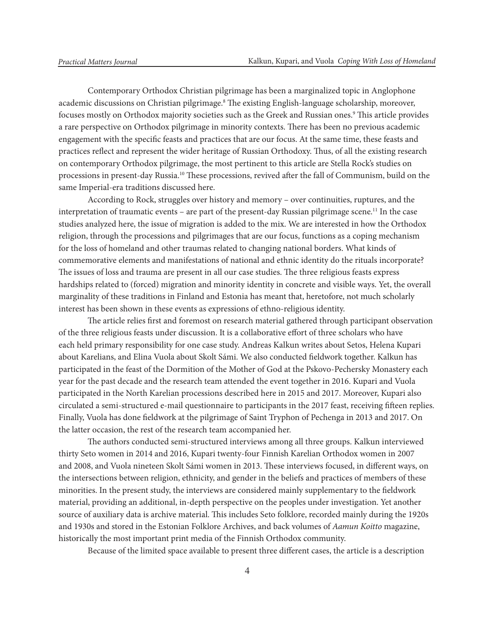Contemporary Orthodox Christian pilgrimage has been a marginalized topic in Anglophone academic discussions on Christian pilgrimage.<sup>8</sup> The existing English-language scholarship, moreover, focuses mostly on Orthodox majority societies such as the Greek and Russian ones.9 This article provides a rare perspective on Orthodox pilgrimage in minority contexts. There has been no previous academic engagement with the specific feasts and practices that are our focus. At the same time, these feasts and practices reflect and represent the wider heritage of Russian Orthodoxy. Thus, of all the existing research on contemporary Orthodox pilgrimage, the most pertinent to this article are Stella Rock's studies on processions in present-day Russia.10 These processions, revived after the fall of Communism, build on the same Imperial-era traditions discussed here.

According to Rock, struggles over history and memory – over continuities, ruptures, and the interpretation of traumatic events – are part of the present-day Russian pilgrimage scene.<sup>11</sup> In the case studies analyzed here, the issue of migration is added to the mix. We are interested in how the Orthodox religion, through the processions and pilgrimages that are our focus, functions as a coping mechanism for the loss of homeland and other traumas related to changing national borders. What kinds of commemorative elements and manifestations of national and ethnic identity do the rituals incorporate? The issues of loss and trauma are present in all our case studies. The three religious feasts express hardships related to (forced) migration and minority identity in concrete and visible ways. Yet, the overall marginality of these traditions in Finland and Estonia has meant that, heretofore, not much scholarly interest has been shown in these events as expressions of ethno-religious identity.

The article relies first and foremost on research material gathered through participant observation of the three religious feasts under discussion. It is a collaborative effort of three scholars who have each held primary responsibility for one case study. Andreas Kalkun writes about Setos, Helena Kupari about Karelians, and Elina Vuola about Skolt Sámi. We also conducted fieldwork together. Kalkun has participated in the feast of the Dormition of the Mother of God at the Pskovo-Pechersky Monastery each year for the past decade and the research team attended the event together in 2016. Kupari and Vuola participated in the North Karelian processions described here in 2015 and 2017. Moreover, Kupari also circulated a semi-structured e-mail questionnaire to participants in the 2017 feast, receiving fifteen replies. Finally, Vuola has done fieldwork at the pilgrimage of Saint Tryphon of Pechenga in 2013 and 2017. On the latter occasion, the rest of the research team accompanied her.

The authors conducted semi-structured interviews among all three groups. Kalkun interviewed thirty Seto women in 2014 and 2016, Kupari twenty-four Finnish Karelian Orthodox women in 2007 and 2008, and Vuola nineteen Skolt Sámi women in 2013. These interviews focused, in different ways, on the intersections between religion, ethnicity, and gender in the beliefs and practices of members of these minorities. In the present study, the interviews are considered mainly supplementary to the fieldwork material, providing an additional, in-depth perspective on the peoples under investigation. Yet another source of auxiliary data is archive material. This includes Seto folklore, recorded mainly during the 1920s and 1930s and stored in the Estonian Folklore Archives, and back volumes of *Aamun Koitto* magazine, historically the most important print media of the Finnish Orthodox community.

Because of the limited space available to present three different cases, the article is a description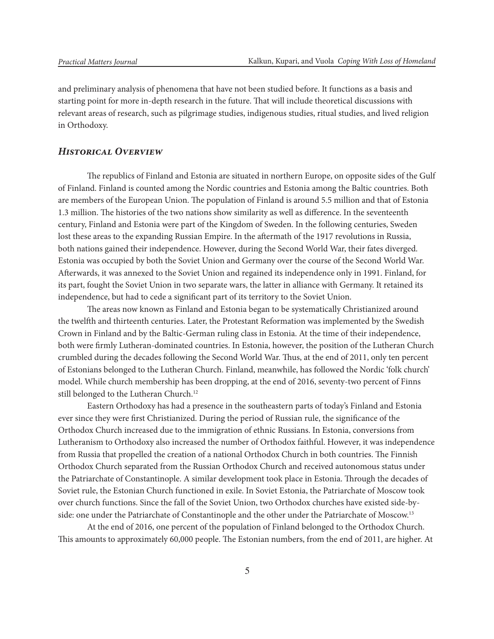and preliminary analysis of phenomena that have not been studied before. It functions as a basis and starting point for more in-depth research in the future. That will include theoretical discussions with relevant areas of research, such as pilgrimage studies, indigenous studies, ritual studies, and lived religion in Orthodoxy.

#### *Historical Overview*

The republics of Finland and Estonia are situated in northern Europe, on opposite sides of the Gulf of Finland. Finland is counted among the Nordic countries and Estonia among the Baltic countries. Both are members of the European Union. The population of Finland is around 5.5 million and that of Estonia 1.3 million. The histories of the two nations show similarity as well as difference. In the seventeenth century, Finland and Estonia were part of the Kingdom of Sweden. In the following centuries, Sweden lost these areas to the expanding Russian Empire. In the aftermath of the 1917 revolutions in Russia, both nations gained their independence. However, during the Second World War, their fates diverged. Estonia was occupied by both the Soviet Union and Germany over the course of the Second World War. Afterwards, it was annexed to the Soviet Union and regained its independence only in 1991. Finland, for its part, fought the Soviet Union in two separate wars, the latter in alliance with Germany. It retained its independence, but had to cede a significant part of its territory to the Soviet Union.

The areas now known as Finland and Estonia began to be systematically Christianized around the twelfth and thirteenth centuries. Later, the Protestant Reformation was implemented by the Swedish Crown in Finland and by the Baltic-German ruling class in Estonia. At the time of their independence, both were firmly Lutheran-dominated countries. In Estonia, however, the position of the Lutheran Church crumbled during the decades following the Second World War. Thus, at the end of 2011, only ten percent of Estonians belonged to the Lutheran Church. Finland, meanwhile, has followed the Nordic 'folk church' model. While church membership has been dropping, at the end of 2016, seventy-two percent of Finns still belonged to the Lutheran Church.<sup>12</sup>

Eastern Orthodoxy has had a presence in the southeastern parts of today's Finland and Estonia ever since they were first Christianized. During the period of Russian rule, the significance of the Orthodox Church increased due to the immigration of ethnic Russians. In Estonia, conversions from Lutheranism to Orthodoxy also increased the number of Orthodox faithful. However, it was independence from Russia that propelled the creation of a national Orthodox Church in both countries. The Finnish Orthodox Church separated from the Russian Orthodox Church and received autonomous status under the Patriarchate of Constantinople. A similar development took place in Estonia. Through the decades of Soviet rule, the Estonian Church functioned in exile. In Soviet Estonia, the Patriarchate of Moscow took over church functions. Since the fall of the Soviet Union, two Orthodox churches have existed side-byside: one under the Patriarchate of Constantinople and the other under the Patriarchate of Moscow.13

At the end of 2016, one percent of the population of Finland belonged to the Orthodox Church. This amounts to approximately 60,000 people. The Estonian numbers, from the end of 2011, are higher. At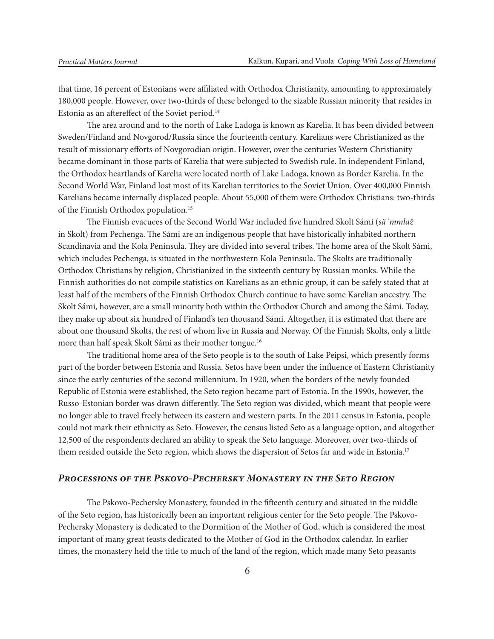that time, 16 percent of Estonians were affiliated with Orthodox Christianity, amounting to approximately 180,000 people. However, over two-thirds of these belonged to the sizable Russian minority that resides in Estonia as an aftereffect of the Soviet period.<sup>14</sup>

The area around and to the north of Lake Ladoga is known as Karelia. It has been divided between Sweden/Finland and Novgorod/Russia since the fourteenth century. Karelians were Christianized as the result of missionary efforts of Novgorodian origin. However, over the centuries Western Christianity became dominant in those parts of Karelia that were subjected to Swedish rule. In independent Finland, the Orthodox heartlands of Karelia were located north of Lake Ladoga, known as Border Karelia. In the Second World War, Finland lost most of its Karelian territories to the Soviet Union. Over 400,000 Finnish Karelians became internally displaced people. About 55,000 of them were Orthodox Christians: two-thirds of the Finnish Orthodox population.15

The Finnish evacuees of the Second World War included five hundred Skolt Sámi (*sä´mmlaž* in Skolt) from Pechenga. The Sámi are an indigenous people that have historically inhabited northern Scandinavia and the Kola Peninsula. They are divided into several tribes. The home area of the Skolt Sámi, which includes Pechenga, is situated in the northwestern Kola Peninsula. The Skolts are traditionally Orthodox Christians by religion, Christianized in the sixteenth century by Russian monks. While the Finnish authorities do not compile statistics on Karelians as an ethnic group, it can be safely stated that at least half of the members of the Finnish Orthodox Church continue to have some Karelian ancestry. The Skolt Sámi, however, are a small minority both within the Orthodox Church and among the Sámi. Today, they make up about six hundred of Finland's ten thousand Sámi. Altogether, it is estimated that there are about one thousand Skolts, the rest of whom live in Russia and Norway. Of the Finnish Skolts, only a little more than half speak Skolt Sámi as their mother tongue.16

The traditional home area of the Seto people is to the south of Lake Peipsi, which presently forms part of the border between Estonia and Russia. Setos have been under the influence of Eastern Christianity since the early centuries of the second millennium. In 1920, when the borders of the newly founded Republic of Estonia were established, the Seto region became part of Estonia. In the 1990s, however, the Russo-Estonian border was drawn differently. The Seto region was divided, which meant that people were no longer able to travel freely between its eastern and western parts. In the 2011 census in Estonia, people could not mark their ethnicity as Seto. However, the census listed Seto as a language option, and altogether 12,500 of the respondents declared an ability to speak the Seto language. Moreover, over two-thirds of them resided outside the Seto region, which shows the dispersion of Setos far and wide in Estonia.<sup>17</sup>

## *Processions of the Pskovo-Pechersky Monastery in the Seto Region*

The Pskovo-Pechersky Monastery, founded in the fifteenth century and situated in the middle of the Seto region, has historically been an important religious center for the Seto people. The Pskovo-Pechersky Monastery is dedicated to the Dormition of the Mother of God, which is considered the most important of many great feasts dedicated to the Mother of God in the Orthodox calendar. In earlier times, the monastery held the title to much of the land of the region, which made many Seto peasants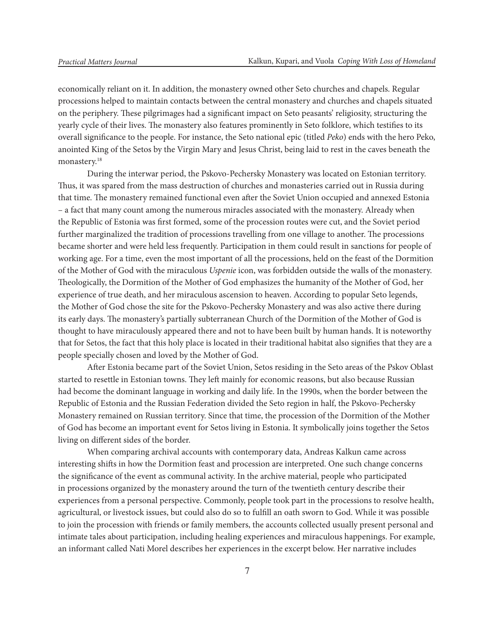economically reliant on it. In addition, the monastery owned other Seto churches and chapels. Regular processions helped to maintain contacts between the central monastery and churches and chapels situated on the periphery. These pilgrimages had a significant impact on Seto peasants' religiosity, structuring the yearly cycle of their lives. The monastery also features prominently in Seto folklore, which testifies to its overall significance to the people. For instance, the Seto national epic (titled *Peko*) ends with the hero Peko, anointed King of the Setos by the Virgin Mary and Jesus Christ, being laid to rest in the caves beneath the monastery.<sup>18</sup>

During the interwar period, the Pskovo-Pechersky Monastery was located on Estonian territory. Thus, it was spared from the mass destruction of churches and monasteries carried out in Russia during that time. The monastery remained functional even after the Soviet Union occupied and annexed Estonia – a fact that many count among the numerous miracles associated with the monastery. Already when the Republic of Estonia was first formed, some of the procession routes were cut, and the Soviet period further marginalized the tradition of processions travelling from one village to another. The processions became shorter and were held less frequently. Participation in them could result in sanctions for people of working age. For a time, even the most important of all the processions, held on the feast of the Dormition of the Mother of God with the miraculous *Uspenie* icon, was forbidden outside the walls of the monastery. Theologically, the Dormition of the Mother of God emphasizes the humanity of the Mother of God, her experience of true death, and her miraculous ascension to heaven. According to popular Seto legends, the Mother of God chose the site for the Pskovo-Pechersky Monastery and was also active there during its early days. The monastery's partially subterranean Church of the Dormition of the Mother of God is thought to have miraculously appeared there and not to have been built by human hands. It is noteworthy that for Setos, the fact that this holy place is located in their traditional habitat also signifies that they are a people specially chosen and loved by the Mother of God.

After Estonia became part of the Soviet Union, Setos residing in the Seto areas of the Pskov Oblast started to resettle in Estonian towns. They left mainly for economic reasons, but also because Russian had become the dominant language in working and daily life. In the 1990s, when the border between the Republic of Estonia and the Russian Federation divided the Seto region in half, the Pskovo-Pechersky Monastery remained on Russian territory. Since that time, the procession of the Dormition of the Mother of God has become an important event for Setos living in Estonia. It symbolically joins together the Setos living on different sides of the border.

When comparing archival accounts with contemporary data, Andreas Kalkun came across interesting shifts in how the Dormition feast and procession are interpreted. One such change concerns the significance of the event as communal activity. In the archive material, people who participated in processions organized by the monastery around the turn of the twentieth century describe their experiences from a personal perspective. Commonly, people took part in the processions to resolve health, agricultural, or livestock issues, but could also do so to fulfill an oath sworn to God. While it was possible to join the procession with friends or family members, the accounts collected usually present personal and intimate tales about participation, including healing experiences and miraculous happenings. For example, an informant called Nati Morel describes her experiences in the excerpt below. Her narrative includes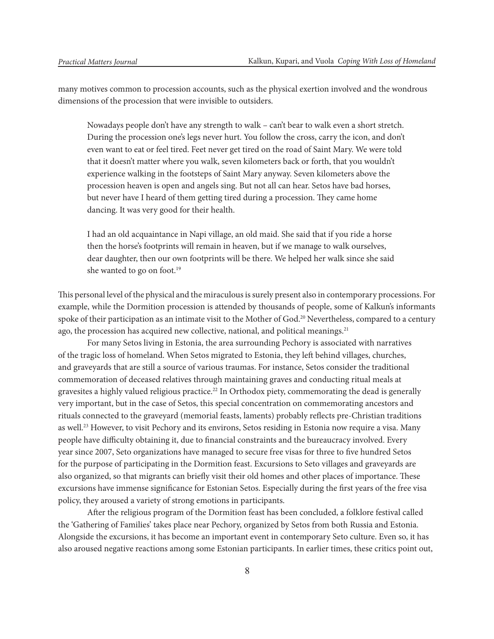many motives common to procession accounts, such as the physical exertion involved and the wondrous dimensions of the procession that were invisible to outsiders.

Nowadays people don't have any strength to walk – can't bear to walk even a short stretch. During the procession one's legs never hurt. You follow the cross, carry the icon, and don't even want to eat or feel tired. Feet never get tired on the road of Saint Mary. We were told that it doesn't matter where you walk, seven kilometers back or forth, that you wouldn't experience walking in the footsteps of Saint Mary anyway. Seven kilometers above the procession heaven is open and angels sing. But not all can hear. Setos have bad horses, but never have I heard of them getting tired during a procession. They came home dancing. It was very good for their health.

I had an old acquaintance in Napi village, an old maid. She said that if you ride a horse then the horse's footprints will remain in heaven, but if we manage to walk ourselves, dear daughter, then our own footprints will be there. We helped her walk since she said she wanted to go on foot.<sup>19</sup>

This personal level of the physical and the miraculous is surely present also in contemporary processions. For example, while the Dormition procession is attended by thousands of people, some of Kalkun's informants spoke of their participation as an intimate visit to the Mother of God.<sup>20</sup> Nevertheless, compared to a century ago, the procession has acquired new collective, national, and political meanings.<sup>21</sup>

For many Setos living in Estonia, the area surrounding Pechory is associated with narratives of the tragic loss of homeland. When Setos migrated to Estonia, they left behind villages, churches, and graveyards that are still a source of various traumas. For instance, Setos consider the traditional commemoration of deceased relatives through maintaining graves and conducting ritual meals at gravesites a highly valued religious practice.<sup>22</sup> In Orthodox piety, commemorating the dead is generally very important, but in the case of Setos, this special concentration on commemorating ancestors and rituals connected to the graveyard (memorial feasts, laments) probably reflects pre-Christian traditions as well.<sup>23</sup> However, to visit Pechory and its environs, Setos residing in Estonia now require a visa. Many people have difficulty obtaining it, due to financial constraints and the bureaucracy involved. Every year since 2007, Seto organizations have managed to secure free visas for three to five hundred Setos for the purpose of participating in the Dormition feast. Excursions to Seto villages and graveyards are also organized, so that migrants can briefly visit their old homes and other places of importance. These excursions have immense significance for Estonian Setos. Especially during the first years of the free visa policy, they aroused a variety of strong emotions in participants.

After the religious program of the Dormition feast has been concluded, a folklore festival called the 'Gathering of Families' takes place near Pechory, organized by Setos from both Russia and Estonia. Alongside the excursions, it has become an important event in contemporary Seto culture. Even so, it has also aroused negative reactions among some Estonian participants. In earlier times, these critics point out,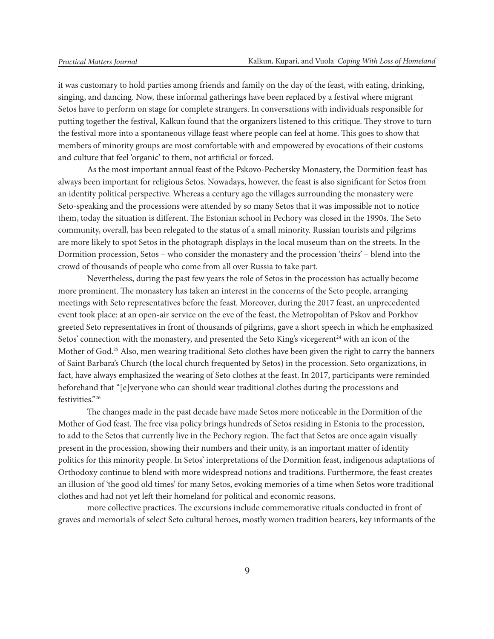it was customary to hold parties among friends and family on the day of the feast, with eating, drinking, singing, and dancing. Now, these informal gatherings have been replaced by a festival where migrant Setos have to perform on stage for complete strangers. In conversations with individuals responsible for putting together the festival, Kalkun found that the organizers listened to this critique. They strove to turn the festival more into a spontaneous village feast where people can feel at home. This goes to show that members of minority groups are most comfortable with and empowered by evocations of their customs and culture that feel 'organic' to them, not artificial or forced.

As the most important annual feast of the Pskovo-Pechersky Monastery, the Dormition feast has always been important for religious Setos. Nowadays, however, the feast is also significant for Setos from an identity political perspective. Whereas a century ago the villages surrounding the monastery were Seto-speaking and the processions were attended by so many Setos that it was impossible not to notice them, today the situation is different. The Estonian school in Pechory was closed in the 1990s. The Seto community, overall, has been relegated to the status of a small minority. Russian tourists and pilgrims are more likely to spot Setos in the photograph displays in the local museum than on the streets. In the Dormition procession, Setos – who consider the monastery and the procession 'theirs' – blend into the crowd of thousands of people who come from all over Russia to take part.

Nevertheless, during the past few years the role of Setos in the procession has actually become more prominent. The monastery has taken an interest in the concerns of the Seto people, arranging meetings with Seto representatives before the feast. Moreover, during the 2017 feast, an unprecedented event took place: at an open-air service on the eve of the feast, the Metropolitan of Pskov and Porkhov greeted Seto representatives in front of thousands of pilgrims, gave a short speech in which he emphasized Setos' connection with the monastery, and presented the Seto King's vicegerent<sup>24</sup> with an icon of the Mother of God.<sup>25</sup> Also, men wearing traditional Seto clothes have been given the right to carry the banners of Saint Barbara's Church (the local church frequented by Setos) in the procession. Seto organizations, in fact, have always emphasized the wearing of Seto clothes at the feast. In 2017, participants were reminded beforehand that "[e]veryone who can should wear traditional clothes during the processions and festivities."26

The changes made in the past decade have made Setos more noticeable in the Dormition of the Mother of God feast. The free visa policy brings hundreds of Setos residing in Estonia to the procession, to add to the Setos that currently live in the Pechory region. The fact that Setos are once again visually present in the procession, showing their numbers and their unity, is an important matter of identity politics for this minority people. In Setos' interpretations of the Dormition feast, indigenous adaptations of Orthodoxy continue to blend with more widespread notions and traditions. Furthermore, the feast creates an illusion of 'the good old times' for many Setos, evoking memories of a time when Setos wore traditional clothes and had not yet left their homeland for political and economic reasons.

more collective practices. The excursions include commemorative rituals conducted in front of graves and memorials of select Seto cultural heroes, mostly women tradition bearers, key informants of the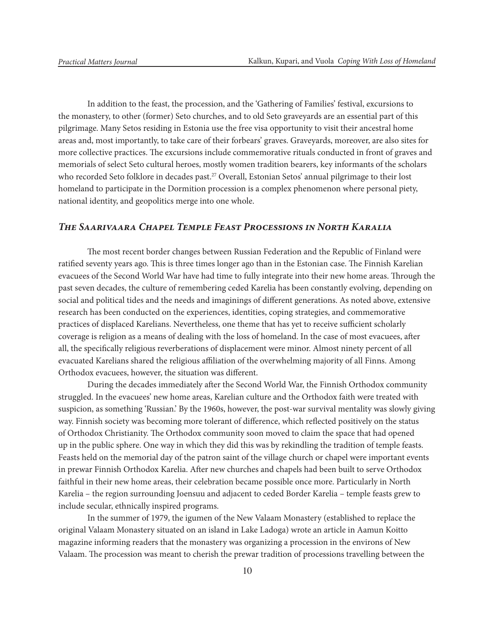In addition to the feast, the procession, and the 'Gathering of Families' festival, excursions to the monastery, to other (former) Seto churches, and to old Seto graveyards are an essential part of this pilgrimage. Many Setos residing in Estonia use the free visa opportunity to visit their ancestral home areas and, most importantly, to take care of their forbears' graves. Graveyards, moreover, are also sites for more collective practices. The excursions include commemorative rituals conducted in front of graves and memorials of select Seto cultural heroes, mostly women tradition bearers, key informants of the scholars who recorded Seto folklore in decades past.<sup>27</sup> Overall, Estonian Setos' annual pilgrimage to their lost homeland to participate in the Dormition procession is a complex phenomenon where personal piety, national identity, and geopolitics merge into one whole.

#### *The Saarivaara Chapel Temple Feast Processions in North Karalia*

The most recent border changes between Russian Federation and the Republic of Finland were ratified seventy years ago. This is three times longer ago than in the Estonian case. The Finnish Karelian evacuees of the Second World War have had time to fully integrate into their new home areas. Through the past seven decades, the culture of remembering ceded Karelia has been constantly evolving, depending on social and political tides and the needs and imaginings of different generations. As noted above, extensive research has been conducted on the experiences, identities, coping strategies, and commemorative practices of displaced Karelians. Nevertheless, one theme that has yet to receive sufficient scholarly coverage is religion as a means of dealing with the loss of homeland. In the case of most evacuees, after all, the specifically religious reverberations of displacement were minor. Almost ninety percent of all evacuated Karelians shared the religious affiliation of the overwhelming majority of all Finns. Among Orthodox evacuees, however, the situation was different.

During the decades immediately after the Second World War, the Finnish Orthodox community struggled. In the evacuees' new home areas, Karelian culture and the Orthodox faith were treated with suspicion, as something 'Russian.' By the 1960s, however, the post-war survival mentality was slowly giving way. Finnish society was becoming more tolerant of difference, which reflected positively on the status of Orthodox Christianity. The Orthodox community soon moved to claim the space that had opened up in the public sphere. One way in which they did this was by rekindling the tradition of temple feasts. Feasts held on the memorial day of the patron saint of the village church or chapel were important events in prewar Finnish Orthodox Karelia. After new churches and chapels had been built to serve Orthodox faithful in their new home areas, their celebration became possible once more. Particularly in North Karelia – the region surrounding Joensuu and adjacent to ceded Border Karelia – temple feasts grew to include secular, ethnically inspired programs.

In the summer of 1979, the igumen of the New Valaam Monastery (established to replace the original Valaam Monastery situated on an island in Lake Ladoga) wrote an article in Aamun Koitto magazine informing readers that the monastery was organizing a procession in the environs of New Valaam. The procession was meant to cherish the prewar tradition of processions travelling between the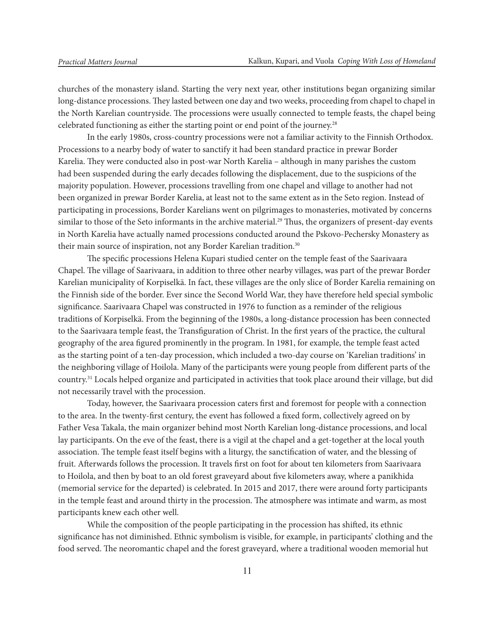churches of the monastery island. Starting the very next year, other institutions began organizing similar long-distance processions. They lasted between one day and two weeks, proceeding from chapel to chapel in the North Karelian countryside. The processions were usually connected to temple feasts, the chapel being celebrated functioning as either the starting point or end point of the journey.28

In the early 1980s, cross-country processions were not a familiar activity to the Finnish Orthodox. Processions to a nearby body of water to sanctify it had been standard practice in prewar Border Karelia. They were conducted also in post-war North Karelia – although in many parishes the custom had been suspended during the early decades following the displacement, due to the suspicions of the majority population. However, processions travelling from one chapel and village to another had not been organized in prewar Border Karelia, at least not to the same extent as in the Seto region. Instead of participating in processions, Border Karelians went on pilgrimages to monasteries, motivated by concerns similar to those of the Seto informants in the archive material.<sup>29</sup> Thus, the organizers of present-day events in North Karelia have actually named processions conducted around the Pskovo-Pechersky Monastery as their main source of inspiration, not any Border Karelian tradition.<sup>30</sup>

The specific processions Helena Kupari studied center on the temple feast of the Saarivaara Chapel. The village of Saarivaara, in addition to three other nearby villages, was part of the prewar Border Karelian municipality of Korpiselkä. In fact, these villages are the only slice of Border Karelia remaining on the Finnish side of the border. Ever since the Second World War, they have therefore held special symbolic significance. Saarivaara Chapel was constructed in 1976 to function as a reminder of the religious traditions of Korpiselkä. From the beginning of the 1980s, a long-distance procession has been connected to the Saarivaara temple feast, the Transfiguration of Christ. In the first years of the practice, the cultural geography of the area figured prominently in the program. In 1981, for example, the temple feast acted as the starting point of a ten-day procession, which included a two-day course on 'Karelian traditions' in the neighboring village of Hoilola. Many of the participants were young people from different parts of the country.31 Locals helped organize and participated in activities that took place around their village, but did not necessarily travel with the procession.

Today, however, the Saarivaara procession caters first and foremost for people with a connection to the area. In the twenty-first century, the event has followed a fixed form, collectively agreed on by Father Vesa Takala, the main organizer behind most North Karelian long-distance processions, and local lay participants. On the eve of the feast, there is a vigil at the chapel and a get-together at the local youth association. The temple feast itself begins with a liturgy, the sanctification of water, and the blessing of fruit. Afterwards follows the procession. It travels first on foot for about ten kilometers from Saarivaara to Hoilola, and then by boat to an old forest graveyard about five kilometers away, where a panikhida (memorial service for the departed) is celebrated. In 2015 and 2017, there were around forty participants in the temple feast and around thirty in the procession. The atmosphere was intimate and warm, as most participants knew each other well.

While the composition of the people participating in the procession has shifted, its ethnic significance has not diminished. Ethnic symbolism is visible, for example, in participants' clothing and the food served. The neoromantic chapel and the forest graveyard, where a traditional wooden memorial hut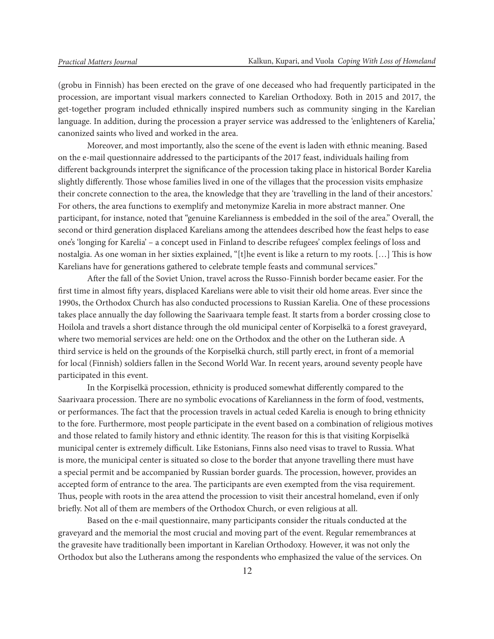(grobu in Finnish) has been erected on the grave of one deceased who had frequently participated in the procession, are important visual markers connected to Karelian Orthodoxy. Both in 2015 and 2017, the get-together program included ethnically inspired numbers such as community singing in the Karelian language. In addition, during the procession a prayer service was addressed to the 'enlighteners of Karelia,' canonized saints who lived and worked in the area.

Moreover, and most importantly, also the scene of the event is laden with ethnic meaning. Based on the e-mail questionnaire addressed to the participants of the 2017 feast, individuals hailing from different backgrounds interpret the significance of the procession taking place in historical Border Karelia slightly differently. Those whose families lived in one of the villages that the procession visits emphasize their concrete connection to the area, the knowledge that they are 'travelling in the land of their ancestors.' For others, the area functions to exemplify and metonymize Karelia in more abstract manner. One participant, for instance, noted that "genuine Karelianness is embedded in the soil of the area." Overall, the second or third generation displaced Karelians among the attendees described how the feast helps to ease one's 'longing for Karelia' – a concept used in Finland to describe refugees' complex feelings of loss and nostalgia. As one woman in her sixties explained, "[t]he event is like a return to my roots. […] This is how Karelians have for generations gathered to celebrate temple feasts and communal services."

After the fall of the Soviet Union, travel across the Russo-Finnish border became easier. For the first time in almost fifty years, displaced Karelians were able to visit their old home areas. Ever since the 1990s, the Orthodox Church has also conducted processions to Russian Karelia. One of these processions takes place annually the day following the Saarivaara temple feast. It starts from a border crossing close to Hoilola and travels a short distance through the old municipal center of Korpiselkä to a forest graveyard, where two memorial services are held: one on the Orthodox and the other on the Lutheran side. A third service is held on the grounds of the Korpiselkä church, still partly erect, in front of a memorial for local (Finnish) soldiers fallen in the Second World War. In recent years, around seventy people have participated in this event.

In the Korpiselkä procession, ethnicity is produced somewhat differently compared to the Saarivaara procession. There are no symbolic evocations of Karelianness in the form of food, vestments, or performances. The fact that the procession travels in actual ceded Karelia is enough to bring ethnicity to the fore. Furthermore, most people participate in the event based on a combination of religious motives and those related to family history and ethnic identity. The reason for this is that visiting Korpiselkä municipal center is extremely difficult. Like Estonians, Finns also need visas to travel to Russia. What is more, the municipal center is situated so close to the border that anyone travelling there must have a special permit and be accompanied by Russian border guards. The procession, however, provides an accepted form of entrance to the area. The participants are even exempted from the visa requirement. Thus, people with roots in the area attend the procession to visit their ancestral homeland, even if only briefly. Not all of them are members of the Orthodox Church, or even religious at all.

Based on the e-mail questionnaire, many participants consider the rituals conducted at the graveyard and the memorial the most crucial and moving part of the event. Regular remembrances at the gravesite have traditionally been important in Karelian Orthodoxy. However, it was not only the Orthodox but also the Lutherans among the respondents who emphasized the value of the services. On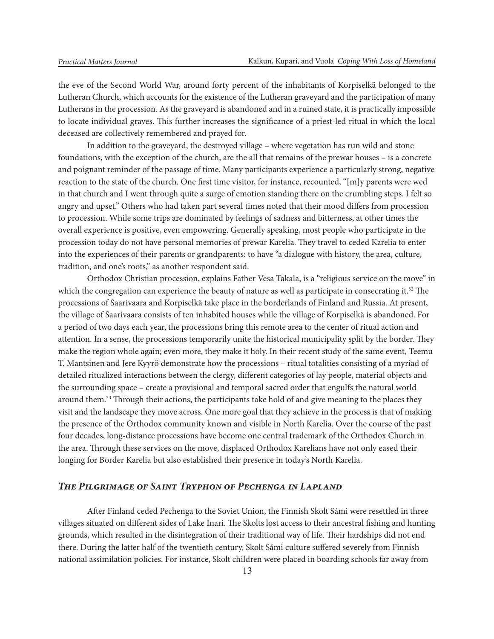the eve of the Second World War, around forty percent of the inhabitants of Korpiselkä belonged to the Lutheran Church, which accounts for the existence of the Lutheran graveyard and the participation of many Lutherans in the procession. As the graveyard is abandoned and in a ruined state, it is practically impossible to locate individual graves. This further increases the significance of a priest-led ritual in which the local deceased are collectively remembered and prayed for.

In addition to the graveyard, the destroyed village – where vegetation has run wild and stone foundations, with the exception of the church, are the all that remains of the prewar houses – is a concrete and poignant reminder of the passage of time. Many participants experience a particularly strong, negative reaction to the state of the church. One first time visitor, for instance, recounted, "[m]y parents were wed in that church and I went through quite a surge of emotion standing there on the crumbling steps. I felt so angry and upset." Others who had taken part several times noted that their mood differs from procession to procession. While some trips are dominated by feelings of sadness and bitterness, at other times the overall experience is positive, even empowering. Generally speaking, most people who participate in the procession today do not have personal memories of prewar Karelia. They travel to ceded Karelia to enter into the experiences of their parents or grandparents: to have "a dialogue with history, the area, culture, tradition, and one's roots," as another respondent said.

Orthodox Christian procession, explains Father Vesa Takala, is a "religious service on the move" in which the congregation can experience the beauty of nature as well as participate in consecrating it.<sup>32</sup> The processions of Saarivaara and Korpiselkä take place in the borderlands of Finland and Russia. At present, the village of Saarivaara consists of ten inhabited houses while the village of Korpiselkä is abandoned. For a period of two days each year, the processions bring this remote area to the center of ritual action and attention. In a sense, the processions temporarily unite the historical municipality split by the border. They make the region whole again; even more, they make it holy. In their recent study of the same event, Teemu T. Mantsinen and Jere Kyyrö demonstrate how the processions – ritual totalities consisting of a myriad of detailed ritualized interactions between the clergy, different categories of lay people, material objects and the surrounding space – create a provisional and temporal sacred order that engulfs the natural world around them.33 Through their actions, the participants take hold of and give meaning to the places they visit and the landscape they move across. One more goal that they achieve in the process is that of making the presence of the Orthodox community known and visible in North Karelia. Over the course of the past four decades, long-distance processions have become one central trademark of the Orthodox Church in the area. Through these services on the move, displaced Orthodox Karelians have not only eased their longing for Border Karelia but also established their presence in today's North Karelia.

## *The Pilgrimage of Saint Tryphon of Pechenga in Lapland*

After Finland ceded Pechenga to the Soviet Union, the Finnish Skolt Sámi were resettled in three villages situated on different sides of Lake Inari. The Skolts lost access to their ancestral fishing and hunting grounds, which resulted in the disintegration of their traditional way of life. Their hardships did not end there. During the latter half of the twentieth century, Skolt Sámi culture suffered severely from Finnish national assimilation policies. For instance, Skolt children were placed in boarding schools far away from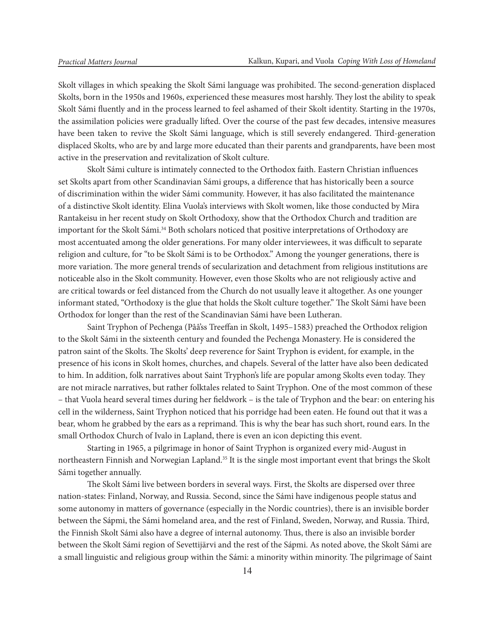Skolt villages in which speaking the Skolt Sámi language was prohibited. The second-generation displaced Skolts, born in the 1950s and 1960s, experienced these measures most harshly. They lost the ability to speak Skolt Sámi fluently and in the process learned to feel ashamed of their Skolt identity. Starting in the 1970s, the assimilation policies were gradually lifted. Over the course of the past few decades, intensive measures have been taken to revive the Skolt Sámi language, which is still severely endangered. Third-generation displaced Skolts, who are by and large more educated than their parents and grandparents, have been most active in the preservation and revitalization of Skolt culture.

Skolt Sámi culture is intimately connected to the Orthodox faith. Eastern Christian influences set Skolts apart from other Scandinavian Sámi groups, a difference that has historically been a source of discrimination within the wider Sámi community. However, it has also facilitated the maintenance of a distinctive Skolt identity. Elina Vuola's interviews with Skolt women, like those conducted by Mira Rantakeisu in her recent study on Skolt Orthodoxy, show that the Orthodox Church and tradition are important for the Skolt Sámi.<sup>34</sup> Both scholars noticed that positive interpretations of Orthodoxy are most accentuated among the older generations. For many older interviewees, it was difficult to separate religion and culture, for "to be Skolt Sámi is to be Orthodox." Among the younger generations, there is more variation. The more general trends of secularization and detachment from religious institutions are noticeable also in the Skolt community. However, even those Skolts who are not religiously active and are critical towards or feel distanced from the Church do not usually leave it altogether. As one younger informant stated, "Orthodoxy is the glue that holds the Skolt culture together." The Skolt Sámi have been Orthodox for longer than the rest of the Scandinavian Sámi have been Lutheran.

Saint Tryphon of Pechenga (Pââ'ss Treeffan in Skolt, 1495–1583) preached the Orthodox religion to the Skolt Sámi in the sixteenth century and founded the Pechenga Monastery. He is considered the patron saint of the Skolts. The Skolts' deep reverence for Saint Tryphon is evident, for example, in the presence of his icons in Skolt homes, churches, and chapels. Several of the latter have also been dedicated to him. In addition, folk narratives about Saint Tryphon's life are popular among Skolts even today. They are not miracle narratives, but rather folktales related to Saint Tryphon. One of the most common of these – that Vuola heard several times during her fieldwork – is the tale of Tryphon and the bear: on entering his cell in the wilderness, Saint Tryphon noticed that his porridge had been eaten. He found out that it was a bear, whom he grabbed by the ears as a reprimand. This is why the bear has such short, round ears. In the small Orthodox Church of Ivalo in Lapland, there is even an icon depicting this event.

Starting in 1965, a pilgrimage in honor of Saint Tryphon is organized every mid-August in northeastern Finnish and Norwegian Lapland.35 It is the single most important event that brings the Skolt Sámi together annually.

The Skolt Sámi live between borders in several ways. First, the Skolts are dispersed over three nation-states: Finland, Norway, and Russia. Second, since the Sámi have indigenous people status and some autonomy in matters of governance (especially in the Nordic countries), there is an invisible border between the Sápmi, the Sámi homeland area, and the rest of Finland, Sweden, Norway, and Russia. Third, the Finnish Skolt Sámi also have a degree of internal autonomy. Thus, there is also an invisible border between the Skolt Sámi region of Sevettijärvi and the rest of the Sápmi. As noted above, the Skolt Sámi are a small linguistic and religious group within the Sámi: a minority within minority. The pilgrimage of Saint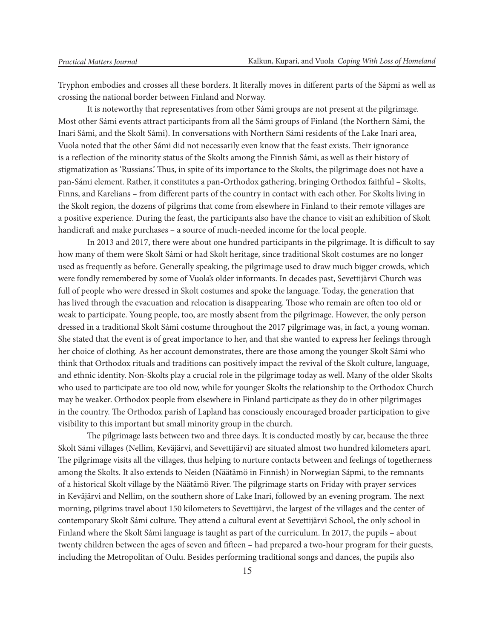Tryphon embodies and crosses all these borders. It literally moves in different parts of the Sápmi as well as crossing the national border between Finland and Norway.

It is noteworthy that representatives from other Sámi groups are not present at the pilgrimage. Most other Sámi events attract participants from all the Sámi groups of Finland (the Northern Sámi, the Inari Sámi, and the Skolt Sámi). In conversations with Northern Sámi residents of the Lake Inari area, Vuola noted that the other Sámi did not necessarily even know that the feast exists. Their ignorance is a reflection of the minority status of the Skolts among the Finnish Sámi, as well as their history of stigmatization as 'Russians.' Thus, in spite of its importance to the Skolts, the pilgrimage does not have a pan-Sámi element. Rather, it constitutes a pan-Orthodox gathering, bringing Orthodox faithful – Skolts, Finns, and Karelians – from different parts of the country in contact with each other. For Skolts living in the Skolt region, the dozens of pilgrims that come from elsewhere in Finland to their remote villages are a positive experience. During the feast, the participants also have the chance to visit an exhibition of Skolt handicraft and make purchases – a source of much-needed income for the local people.

In 2013 and 2017, there were about one hundred participants in the pilgrimage. It is difficult to say how many of them were Skolt Sámi or had Skolt heritage, since traditional Skolt costumes are no longer used as frequently as before. Generally speaking, the pilgrimage used to draw much bigger crowds, which were fondly remembered by some of Vuola's older informants. In decades past, Sevettijärvi Church was full of people who were dressed in Skolt costumes and spoke the language. Today, the generation that has lived through the evacuation and relocation is disappearing. Those who remain are often too old or weak to participate. Young people, too, are mostly absent from the pilgrimage. However, the only person dressed in a traditional Skolt Sámi costume throughout the 2017 pilgrimage was, in fact, a young woman. She stated that the event is of great importance to her, and that she wanted to express her feelings through her choice of clothing. As her account demonstrates, there are those among the younger Skolt Sámi who think that Orthodox rituals and traditions can positively impact the revival of the Skolt culture, language, and ethnic identity. Non-Skolts play a crucial role in the pilgrimage today as well. Many of the older Skolts who used to participate are too old now, while for younger Skolts the relationship to the Orthodox Church may be weaker. Orthodox people from elsewhere in Finland participate as they do in other pilgrimages in the country. The Orthodox parish of Lapland has consciously encouraged broader participation to give visibility to this important but small minority group in the church.

The pilgrimage lasts between two and three days. It is conducted mostly by car, because the three Skolt Sámi villages (Nellim, Keväjärvi, and Sevettijärvi) are situated almost two hundred kilometers apart. The pilgrimage visits all the villages, thus helping to nurture contacts between and feelings of togetherness among the Skolts. It also extends to Neiden (Näätämö in Finnish) in Norwegian Sápmi, to the remnants of a historical Skolt village by the Näätämö River. The pilgrimage starts on Friday with prayer services in Keväjärvi and Nellim, on the southern shore of Lake Inari, followed by an evening program. The next morning, pilgrims travel about 150 kilometers to Sevettijärvi, the largest of the villages and the center of contemporary Skolt Sámi culture. They attend a cultural event at Sevettijärvi School, the only school in Finland where the Skolt Sámi language is taught as part of the curriculum. In 2017, the pupils – about twenty children between the ages of seven and fifteen – had prepared a two-hour program for their guests, including the Metropolitan of Oulu. Besides performing traditional songs and dances, the pupils also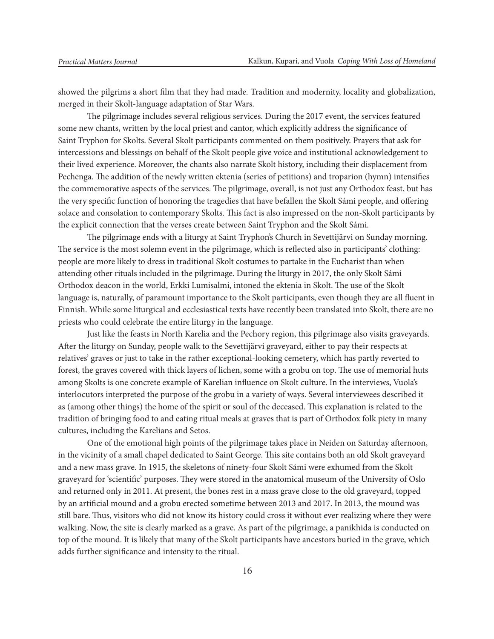showed the pilgrims a short film that they had made. Tradition and modernity, locality and globalization, merged in their Skolt-language adaptation of Star Wars.

The pilgrimage includes several religious services. During the 2017 event, the services featured some new chants, written by the local priest and cantor, which explicitly address the significance of Saint Tryphon for Skolts. Several Skolt participants commented on them positively. Prayers that ask for intercessions and blessings on behalf of the Skolt people give voice and institutional acknowledgement to their lived experience. Moreover, the chants also narrate Skolt history, including their displacement from Pechenga. The addition of the newly written ektenia (series of petitions) and troparion (hymn) intensifies the commemorative aspects of the services. The pilgrimage, overall, is not just any Orthodox feast, but has the very specific function of honoring the tragedies that have befallen the Skolt Sámi people, and offering solace and consolation to contemporary Skolts. This fact is also impressed on the non-Skolt participants by the explicit connection that the verses create between Saint Tryphon and the Skolt Sámi.

The pilgrimage ends with a liturgy at Saint Tryphon's Church in Sevettijärvi on Sunday morning. The service is the most solemn event in the pilgrimage, which is reflected also in participants' clothing: people are more likely to dress in traditional Skolt costumes to partake in the Eucharist than when attending other rituals included in the pilgrimage. During the liturgy in 2017, the only Skolt Sámi Orthodox deacon in the world, Erkki Lumisalmi, intoned the ektenia in Skolt. The use of the Skolt language is, naturally, of paramount importance to the Skolt participants, even though they are all fluent in Finnish. While some liturgical and ecclesiastical texts have recently been translated into Skolt, there are no priests who could celebrate the entire liturgy in the language.

Just like the feasts in North Karelia and the Pechory region, this pilgrimage also visits graveyards. After the liturgy on Sunday, people walk to the Sevettijärvi graveyard, either to pay their respects at relatives' graves or just to take in the rather exceptional-looking cemetery, which has partly reverted to forest, the graves covered with thick layers of lichen, some with a grobu on top. The use of memorial huts among Skolts is one concrete example of Karelian influence on Skolt culture. In the interviews, Vuola's interlocutors interpreted the purpose of the grobu in a variety of ways. Several interviewees described it as (among other things) the home of the spirit or soul of the deceased. This explanation is related to the tradition of bringing food to and eating ritual meals at graves that is part of Orthodox folk piety in many cultures, including the Karelians and Setos.

One of the emotional high points of the pilgrimage takes place in Neiden on Saturday afternoon, in the vicinity of a small chapel dedicated to Saint George. This site contains both an old Skolt graveyard and a new mass grave. In 1915, the skeletons of ninety-four Skolt Sámi were exhumed from the Skolt graveyard for 'scientific' purposes. They were stored in the anatomical museum of the University of Oslo and returned only in 2011. At present, the bones rest in a mass grave close to the old graveyard, topped by an artificial mound and a grobu erected sometime between 2013 and 2017. In 2013, the mound was still bare. Thus, visitors who did not know its history could cross it without ever realizing where they were walking. Now, the site is clearly marked as a grave. As part of the pilgrimage, a panikhida is conducted on top of the mound. It is likely that many of the Skolt participants have ancestors buried in the grave, which adds further significance and intensity to the ritual.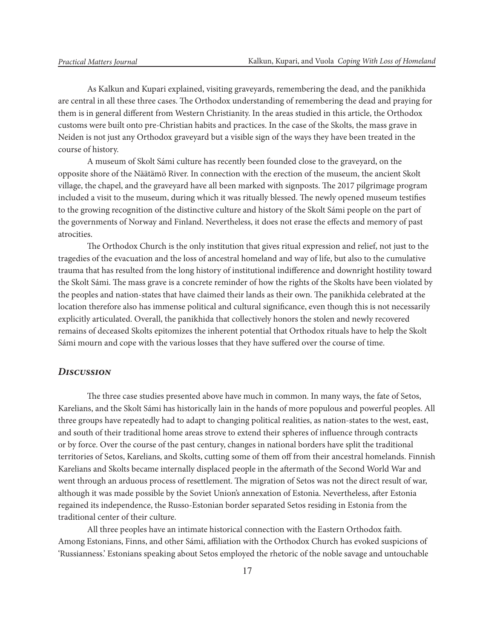As Kalkun and Kupari explained, visiting graveyards, remembering the dead, and the panikhida are central in all these three cases. The Orthodox understanding of remembering the dead and praying for them is in general different from Western Christianity. In the areas studied in this article, the Orthodox customs were built onto pre-Christian habits and practices. In the case of the Skolts, the mass grave in Neiden is not just any Orthodox graveyard but a visible sign of the ways they have been treated in the course of history.

A museum of Skolt Sámi culture has recently been founded close to the graveyard, on the opposite shore of the Näätämö River. In connection with the erection of the museum, the ancient Skolt village, the chapel, and the graveyard have all been marked with signposts. The 2017 pilgrimage program included a visit to the museum, during which it was ritually blessed. The newly opened museum testifies to the growing recognition of the distinctive culture and history of the Skolt Sámi people on the part of the governments of Norway and Finland. Nevertheless, it does not erase the effects and memory of past atrocities.

The Orthodox Church is the only institution that gives ritual expression and relief, not just to the tragedies of the evacuation and the loss of ancestral homeland and way of life, but also to the cumulative trauma that has resulted from the long history of institutional indifference and downright hostility toward the Skolt Sámi. The mass grave is a concrete reminder of how the rights of the Skolts have been violated by the peoples and nation-states that have claimed their lands as their own. The panikhida celebrated at the location therefore also has immense political and cultural significance, even though this is not necessarily explicitly articulated. Overall, the panikhida that collectively honors the stolen and newly recovered remains of deceased Skolts epitomizes the inherent potential that Orthodox rituals have to help the Skolt Sámi mourn and cope with the various losses that they have suffered over the course of time.

#### *Discussion*

The three case studies presented above have much in common. In many ways, the fate of Setos, Karelians, and the Skolt Sámi has historically lain in the hands of more populous and powerful peoples. All three groups have repeatedly had to adapt to changing political realities, as nation-states to the west, east, and south of their traditional home areas strove to extend their spheres of influence through contracts or by force. Over the course of the past century, changes in national borders have split the traditional territories of Setos, Karelians, and Skolts, cutting some of them off from their ancestral homelands. Finnish Karelians and Skolts became internally displaced people in the aftermath of the Second World War and went through an arduous process of resettlement. The migration of Setos was not the direct result of war, although it was made possible by the Soviet Union's annexation of Estonia. Nevertheless, after Estonia regained its independence, the Russo-Estonian border separated Setos residing in Estonia from the traditional center of their culture.

All three peoples have an intimate historical connection with the Eastern Orthodox faith. Among Estonians, Finns, and other Sámi, affiliation with the Orthodox Church has evoked suspicions of 'Russianness.' Estonians speaking about Setos employed the rhetoric of the noble savage and untouchable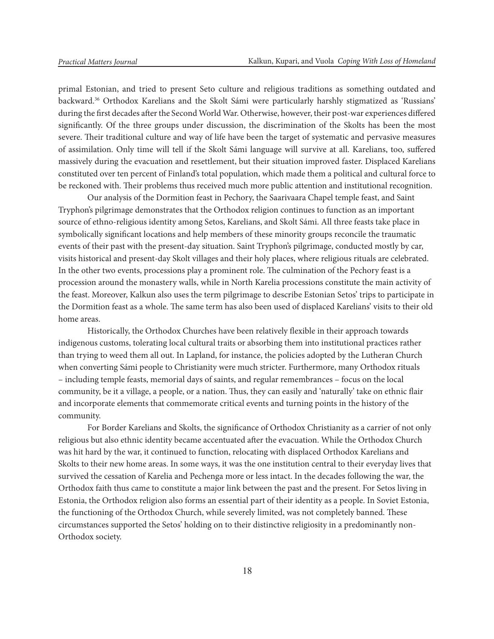primal Estonian, and tried to present Seto culture and religious traditions as something outdated and backward.<sup>36</sup> Orthodox Karelians and the Skolt Sámi were particularly harshly stigmatized as 'Russians' during the first decades after the Second World War. Otherwise, however, their post-war experiences differed significantly. Of the three groups under discussion, the discrimination of the Skolts has been the most severe. Their traditional culture and way of life have been the target of systematic and pervasive measures of assimilation. Only time will tell if the Skolt Sámi language will survive at all. Karelians, too, suffered massively during the evacuation and resettlement, but their situation improved faster. Displaced Karelians constituted over ten percent of Finland's total population, which made them a political and cultural force to be reckoned with. Their problems thus received much more public attention and institutional recognition.

Our analysis of the Dormition feast in Pechory, the Saarivaara Chapel temple feast, and Saint Tryphon's pilgrimage demonstrates that the Orthodox religion continues to function as an important source of ethno-religious identity among Setos, Karelians, and Skolt Sámi. All three feasts take place in symbolically significant locations and help members of these minority groups reconcile the traumatic events of their past with the present-day situation. Saint Tryphon's pilgrimage, conducted mostly by car, visits historical and present-day Skolt villages and their holy places, where religious rituals are celebrated. In the other two events, processions play a prominent role. The culmination of the Pechory feast is a procession around the monastery walls, while in North Karelia processions constitute the main activity of the feast. Moreover, Kalkun also uses the term pilgrimage to describe Estonian Setos' trips to participate in the Dormition feast as a whole. The same term has also been used of displaced Karelians' visits to their old home areas.

Historically, the Orthodox Churches have been relatively flexible in their approach towards indigenous customs, tolerating local cultural traits or absorbing them into institutional practices rather than trying to weed them all out. In Lapland, for instance, the policies adopted by the Lutheran Church when converting Sámi people to Christianity were much stricter. Furthermore, many Orthodox rituals – including temple feasts, memorial days of saints, and regular remembrances – focus on the local community, be it a village, a people, or a nation. Thus, they can easily and 'naturally' take on ethnic flair and incorporate elements that commemorate critical events and turning points in the history of the community.

For Border Karelians and Skolts, the significance of Orthodox Christianity as a carrier of not only religious but also ethnic identity became accentuated after the evacuation. While the Orthodox Church was hit hard by the war, it continued to function, relocating with displaced Orthodox Karelians and Skolts to their new home areas. In some ways, it was the one institution central to their everyday lives that survived the cessation of Karelia and Pechenga more or less intact. In the decades following the war, the Orthodox faith thus came to constitute a major link between the past and the present. For Setos living in Estonia, the Orthodox religion also forms an essential part of their identity as a people. In Soviet Estonia, the functioning of the Orthodox Church, while severely limited, was not completely banned. These circumstances supported the Setos' holding on to their distinctive religiosity in a predominantly non-Orthodox society.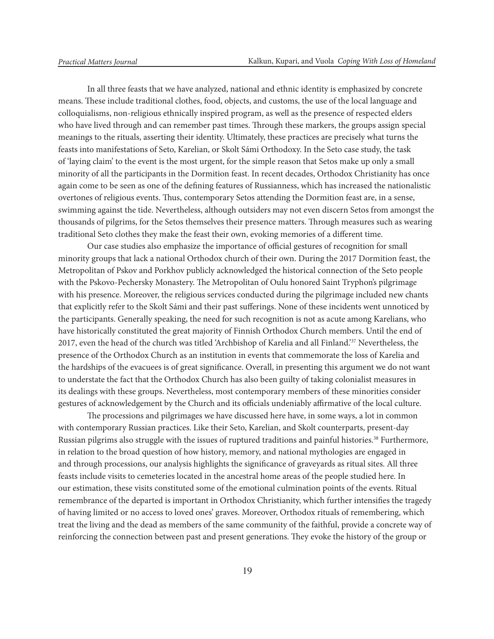In all three feasts that we have analyzed, national and ethnic identity is emphasized by concrete means. These include traditional clothes, food, objects, and customs, the use of the local language and colloquialisms, non-religious ethnically inspired program, as well as the presence of respected elders who have lived through and can remember past times. Through these markers, the groups assign special meanings to the rituals, asserting their identity. Ultimately, these practices are precisely what turns the feasts into manifestations of Seto, Karelian, or Skolt Sámi Orthodoxy. In the Seto case study, the task of 'laying claim' to the event is the most urgent, for the simple reason that Setos make up only a small minority of all the participants in the Dormition feast. In recent decades, Orthodox Christianity has once again come to be seen as one of the defining features of Russianness, which has increased the nationalistic overtones of religious events. Thus, contemporary Setos attending the Dormition feast are, in a sense, swimming against the tide. Nevertheless, although outsiders may not even discern Setos from amongst the thousands of pilgrims, for the Setos themselves their presence matters. Through measures such as wearing traditional Seto clothes they make the feast their own, evoking memories of a different time.

Our case studies also emphasize the importance of official gestures of recognition for small minority groups that lack a national Orthodox church of their own. During the 2017 Dormition feast, the Metropolitan of Pskov and Porkhov publicly acknowledged the historical connection of the Seto people with the Pskovo-Pechersky Monastery. The Metropolitan of Oulu honored Saint Tryphon's pilgrimage with his presence. Moreover, the religious services conducted during the pilgrimage included new chants that explicitly refer to the Skolt Sámi and their past sufferings. None of these incidents went unnoticed by the participants. Generally speaking, the need for such recognition is not as acute among Karelians, who have historically constituted the great majority of Finnish Orthodox Church members. Until the end of 2017, even the head of the church was titled 'Archbishop of Karelia and all Finland.'37 Nevertheless, the presence of the Orthodox Church as an institution in events that commemorate the loss of Karelia and the hardships of the evacuees is of great significance. Overall, in presenting this argument we do not want to understate the fact that the Orthodox Church has also been guilty of taking colonialist measures in its dealings with these groups. Nevertheless, most contemporary members of these minorities consider gestures of acknowledgement by the Church and its officials undeniably affirmative of the local culture.

The processions and pilgrimages we have discussed here have, in some ways, a lot in common with contemporary Russian practices. Like their Seto, Karelian, and Skolt counterparts, present-day Russian pilgrims also struggle with the issues of ruptured traditions and painful histories.<sup>38</sup> Furthermore, in relation to the broad question of how history, memory, and national mythologies are engaged in and through processions, our analysis highlights the significance of graveyards as ritual sites. All three feasts include visits to cemeteries located in the ancestral home areas of the people studied here. In our estimation, these visits constituted some of the emotional culmination points of the events. Ritual remembrance of the departed is important in Orthodox Christianity, which further intensifies the tragedy of having limited or no access to loved ones' graves. Moreover, Orthodox rituals of remembering, which treat the living and the dead as members of the same community of the faithful, provide a concrete way of reinforcing the connection between past and present generations. They evoke the history of the group or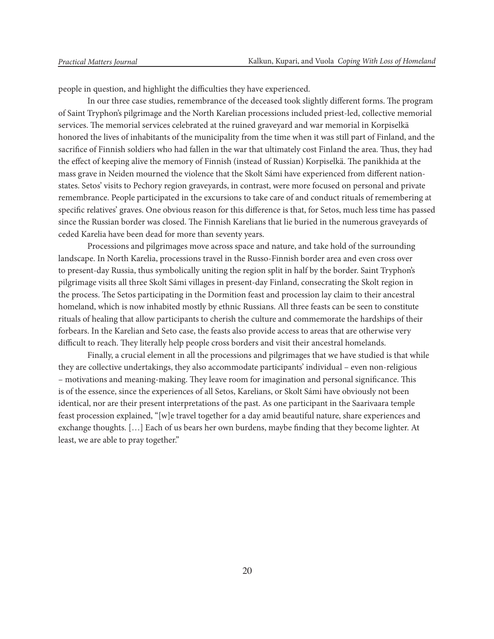people in question, and highlight the difficulties they have experienced.

In our three case studies, remembrance of the deceased took slightly different forms. The program of Saint Tryphon's pilgrimage and the North Karelian processions included priest-led, collective memorial services. The memorial services celebrated at the ruined graveyard and war memorial in Korpiselkä honored the lives of inhabitants of the municipality from the time when it was still part of Finland, and the sacrifice of Finnish soldiers who had fallen in the war that ultimately cost Finland the area. Thus, they had the effect of keeping alive the memory of Finnish (instead of Russian) Korpiselkä. The panikhida at the mass grave in Neiden mourned the violence that the Skolt Sámi have experienced from different nationstates. Setos' visits to Pechory region graveyards, in contrast, were more focused on personal and private remembrance. People participated in the excursions to take care of and conduct rituals of remembering at specific relatives' graves. One obvious reason for this difference is that, for Setos, much less time has passed since the Russian border was closed. The Finnish Karelians that lie buried in the numerous graveyards of ceded Karelia have been dead for more than seventy years.

Processions and pilgrimages move across space and nature, and take hold of the surrounding landscape. In North Karelia, processions travel in the Russo-Finnish border area and even cross over to present-day Russia, thus symbolically uniting the region split in half by the border. Saint Tryphon's pilgrimage visits all three Skolt Sámi villages in present-day Finland, consecrating the Skolt region in the process. The Setos participating in the Dormition feast and procession lay claim to their ancestral homeland, which is now inhabited mostly by ethnic Russians. All three feasts can be seen to constitute rituals of healing that allow participants to cherish the culture and commemorate the hardships of their forbears. In the Karelian and Seto case, the feasts also provide access to areas that are otherwise very difficult to reach. They literally help people cross borders and visit their ancestral homelands.

Finally, a crucial element in all the processions and pilgrimages that we have studied is that while they are collective undertakings, they also accommodate participants' individual – even non-religious – motivations and meaning-making. They leave room for imagination and personal significance. This is of the essence, since the experiences of all Setos, Karelians, or Skolt Sámi have obviously not been identical, nor are their present interpretations of the past. As one participant in the Saarivaara temple feast procession explained, "[w]e travel together for a day amid beautiful nature, share experiences and exchange thoughts. […] Each of us bears her own burdens, maybe finding that they become lighter. At least, we are able to pray together."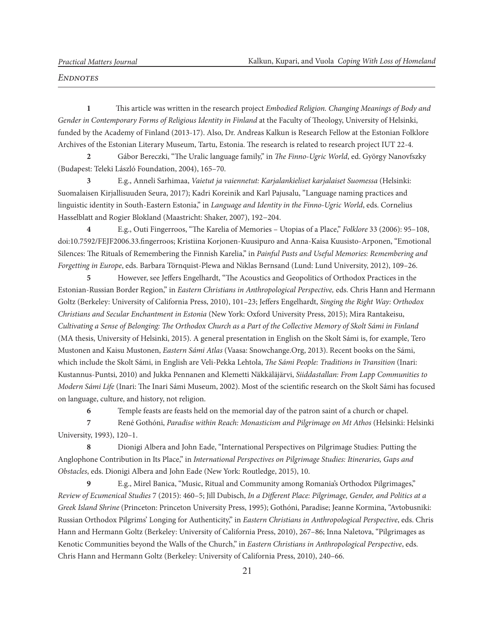#### *Endnotes*

**1** This article was written in the research project *Embodied Religion. Changing Meanings of Body and Gender in Contemporary Forms of Religious Identity in Finland* at the Faculty of Theology, University of Helsinki, funded by the Academy of Finland (2013-17). Also, Dr. Andreas Kalkun is Research Fellow at the Estonian Folklore Archives of the Estonian Literary Museum, Tartu, Estonia. The research is related to research project IUT 22-4.

**2** Gábor Bereczki, "The Uralic language family," in *The Finno-Ugric World*, ed. György Nanovfszky (Budapest: Teleki László Foundation, 2004), 165–70.

**3** E.g., Anneli Sarhimaa, *Vaietut ja vaiennetut: Karjalankieliset karjalaiset Suomessa* (Helsinki: Suomalaisen Kirjallisuuden Seura, 2017); Kadri Koreinik and Karl Pajusalu, "Language naming practices and linguistic identity in South-Eastern Estonia," in *Language and Identity in the Finno-Ugric World*, eds. Cornelius Hasselblatt and Rogier Blokland (Maastricht: Shaker, 2007), 192−204.

**4** E.g., Outi Fingerroos, "The Karelia of Memories – Utopias of a Place," *Folklore* 33 (2006): 95–108, doi:10.7592/FEJF2006.33.fingerroos; Kristiina Korjonen-Kuusipuro and Anna-Kaisa Kuusisto-Arponen, "Emotional Silences: The Rituals of Remembering the Finnish Karelia," in *Painful Pasts and Useful Memories: Remembering and Forgetting in Europe*, eds. Barbara Törnquist-Plewa and Niklas Bernsand (Lund: Lund University, 2012), 109–26.

**5** However, see Jeffers Engelhardt, "The Acoustics and Geopolitics of Orthodox Practices in the Estonian-Russian Border Region," in *Eastern Christians in Anthropological Perspective,* eds. Chris Hann and Hermann Goltz (Berkeley: University of California Press, 2010), 101–23; Jeffers Engelhardt, *Singing the Right Way: Orthodox Christians and Secular Enchantment in Estonia* (New York: Oxford University Press, 2015); Mira Rantakeisu, *Cultivating a Sense of Belonging: The Orthodox Church as a Part of the Collective Memory of Skolt Sámi in Finland*  (MA thesis, University of Helsinki, 2015). A general presentation in English on the Skolt Sámi is, for example, Tero Mustonen and Kaisu Mustonen, *Eastern Sámi Atlas* (Vaasa: Snowchange.Org, 2013). Recent books on the Sámi, which include the Skolt Sámi, in English are Veli-Pekka Lehtola, *The Sámi People: Traditions in Transition* (Inari: Kustannus-Puntsi, 2010) and Jukka Pennanen and Klemetti Näkkäläjärvi, *Siiddastallan: From Lapp Communities to Modern Sámi Life* (Inari: The Inari Sámi Museum, 2002). Most of the scientific research on the Skolt Sámi has focused on language, culture, and history, not religion.

**6** Temple feasts are feasts held on the memorial day of the patron saint of a church or chapel.

**7** René Gothóni, *Paradise within Reach: Monasticism and Pilgrimage on Mt Athos* (Helsinki: Helsinki University, 1993), 120–1.

**8** Dionigi Albera and John Eade, "International Perspectives on Pilgrimage Studies: Putting the Anglophone Contribution in Its Place," in *International Perspectives on Pilgrimage Studies: Itineraries, Gaps and Obstacles*, eds. Dionigi Albera and John Eade (New York: Routledge, 2015), 10.

**9** E.g., Mirel Banica, "Music, Ritual and Community among Romania's Orthodox Pilgrimages," *Review of Ecumenical Studies* 7 (2015): 460–5; Jill Dubisch, *In a Different Place: Pilgrimage, Gender, and Politics at a Greek Island Shrine* (Princeton: Princeton University Press, 1995); Gothóni, Paradise; Jeanne Kormina, "Avtobusniki: Russian Orthodox Pilgrims' Longing for Authenticity," in *Eastern Christians in Anthropological Perspective*, eds. Chris Hann and Hermann Goltz (Berkeley: University of California Press, 2010), 267–86; Inna Naletova, "Pilgrimages as Kenotic Communities beyond the Walls of the Church," in *Eastern Christians in Anthropological Perspective*, eds. Chris Hann and Hermann Goltz (Berkeley: University of California Press, 2010), 240–66.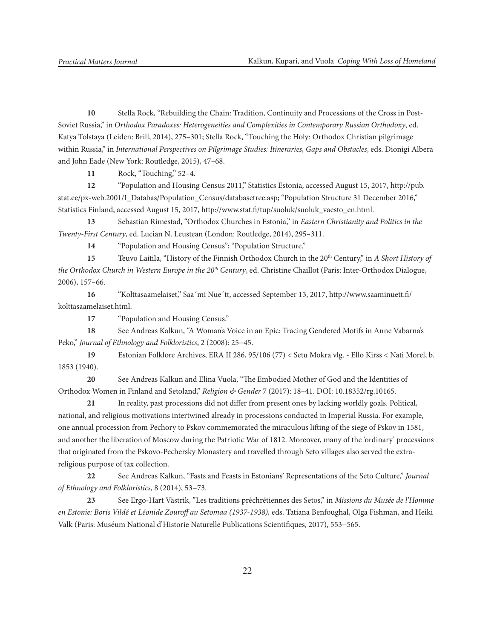**10** Stella Rock, "Rebuilding the Chain: Tradition, Continuity and Processions of the Cross in Post-Soviet Russia," in *Orthodox Paradoxes: Heterogeneities and Complexities in Contemporary Russian Orthodoxy*, ed. Katya Tolstaya (Leiden: Brill, 2014), 275–301; Stella Rock, "Touching the Holy: Orthodox Christian pilgrimage within Russia," in *International Perspectives on Pilgrimage Studies: Itineraries, Gaps and Obstacles*, eds. Dionigi Albera and John Eade (New York: Routledge, 2015), 47–68.

**11** Rock, "Touching," 52–4.

**12** "Population and Housing Census 2011," Statistics Estonia, accessed August 15, 2017, http://pub. stat.ee/px-web.2001/I\_Databas/Population\_Census/databasetree.asp; "Population Structure 31 December 2016," Statistics Finland, accessed August 15, 2017, http://www.stat.fi/tup/suoluk/suoluk\_vaesto\_en.html.

**13** Sebastian Rimestad, "Orthodox Churches in Estonia," in *Eastern Christianity and Politics in the Twenty-First Century*, ed. Lucian N. Leustean (London: Routledge, 2014), 295–311.

**14** "Population and Housing Census"; "Population Structure."

**15** Teuvo Laitila, "History of the Finnish Orthodox Church in the 20th Century," in *A Short History of the Orthodox Church in Western Europe in the 20th Century*, ed. Christine Chaillot (Paris: Inter-Orthodox Dialogue, 2006), 157–66.

**16** "Kolttasaamelaiset," Saa´mi Nue´tt, accessed September 13, 2017, http://www.saaminuett.fi/ kolttasaamelaiset.html.

**17** "Population and Housing Census."

**18** See Andreas Kalkun, "A Woman's Voice in an Epic: Tracing Gendered Motifs in Anne Vabarna's Peko," *Journal of Ethnology and Folkloristics*, 2 (2008): 25−45.

**19** Estonian Folklore Archives, ERA II 286, 95/106 (77) < Setu Mokra vlg. - Ello Kirss < Nati Morel, b. 1853 (1940).

**20** See Andreas Kalkun and Elina Vuola, "The Embodied Mother of God and the Identities of Orthodox Women in Finland and Setoland," *Religion & Gender* 7 (2017): 18–41. DOI: 10.18352/rg.10165.

**21** In reality, past processions did not differ from present ones by lacking worldly goals. Political, national, and religious motivations intertwined already in processions conducted in Imperial Russia. For example, one annual procession from Pechory to Pskov commemorated the miraculous lifting of the siege of Pskov in 1581, and another the liberation of Moscow during the Patriotic War of 1812. Moreover, many of the 'ordinary' processions that originated from the Pskovo-Pechersky Monastery and travelled through Seto villages also served the extrareligious purpose of tax collection.

**22** See Andreas Kalkun, "Fasts and Feasts in Estonians' Representations of the Seto Culture," *Journal of Ethnology and Folkloristics*, 8 (2014), 53−73.

**23** See Ergo-Hart Västrik, "Les traditions préchrétiennes des Setos," in *Missions du Musée de l'Homme en Estonie: Boris Vildé et Léonide Zouroff au Setomaa (1937-1938),* eds. Tatiana Benfoughal, Olga Fishman, and Heiki Valk (Paris: Muséum National d'Historie Naturelle Publications Scientifiques, 2017), 553−565.